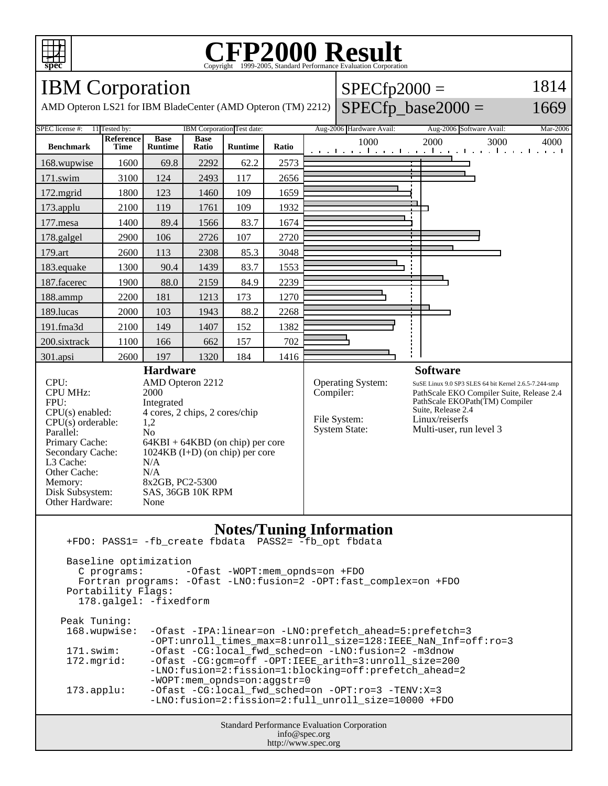

### **CFP2000 Result** Copyright ©1999-2005, Stand

### IBM Corporation

AMD Opteron LS21 for IBM BladeCenter (AMD Opteron (TM) 2212)

#### $SPECfp2000 =$  $SPECfp\_base2000 =$ 1814

1669



Standard Performance Evaluation Corporation info@spec.org http://www.spec.org